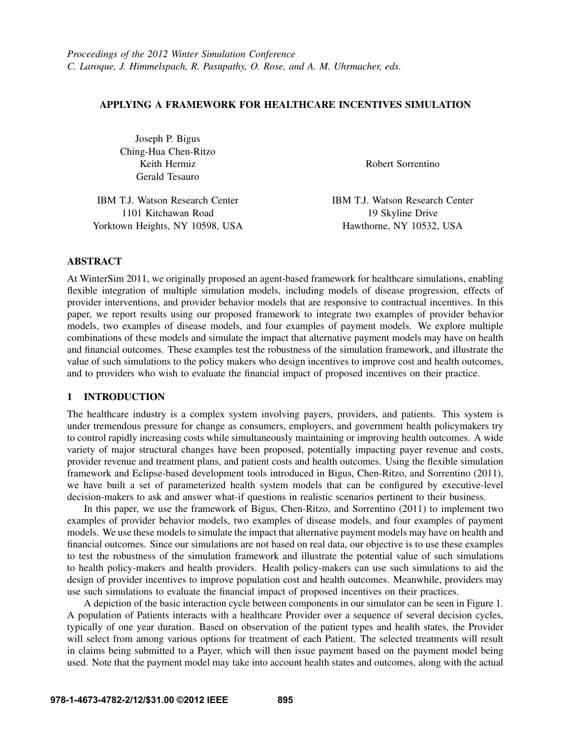# APPLYING A FRAMEWORK FOR HEALTHCARE INCENTIVES SIMULATION

Joseph P. Bigus Ching-Hua Chen-Ritzo Keith Hermiz Gerald Tesauro

Robert Sorrentino

| IBM T.J. Watson Research Center |  |  |  |
|---------------------------------|--|--|--|
| 1101 Kitchawan Road             |  |  |  |
| Yorktown Heights, NY 10598, USA |  |  |  |

IBM T.J. Watson Research Center 19 Skyline Drive Hawthorne, NY 10532, USA

# ABSTRACT

At WinterSim 2011, we originally proposed an agent-based framework for healthcare simulations, enabling flexible integration of multiple simulation models, including models of disease progression, effects of provider interventions, and provider behavior models that are responsive to contractual incentives. In this paper, we report results using our proposed framework to integrate two examples of provider behavior models, two examples of disease models, and four examples of payment models. We explore multiple combinations of these models and simulate the impact that alternative payment models may have on health and financial outcomes. These examples test the robustness of the simulation framework, and illustrate the value of such simulations to the policy makers who design incentives to improve cost and health outcomes, and to providers who wish to evaluate the financial impact of proposed incentives on their practice.

## 1 INTRODUCTION

The healthcare industry is a complex system involving payers, providers, and patients. This system is under tremendous pressure for change as consumers, employers, and government health policymakers try to control rapidly increasing costs while simultaneously maintaining or improving health outcomes. A wide variety of major structural changes have been proposed, potentially impacting payer revenue and costs, provider revenue and treatment plans, and patient costs and health outcomes. Using the flexible simulation framework and Eclipse-based development tools introduced in Bigus, Chen-Ritzo, and Sorrentino (2011), we have built a set of parameterized health system models that can be configured by executive-level decision-makers to ask and answer what-if questions in realistic scenarios pertinent to their business.

In this paper, we use the framework of Bigus, Chen-Ritzo, and Sorrentino (2011) to implement two examples of provider behavior models, two examples of disease models, and four examples of payment models. We use these models to simulate the impact that alternative payment models may have on health and financial outcomes. Since our simulations are not based on real data, our objective is to use these examples to test the robustness of the simulation framework and illustrate the potential value of such simulations to health policy-makers and health providers. Health policy-makers can use such simulations to aid the design of provider incentives to improve population cost and health outcomes. Meanwhile, providers may use such simulations to evaluate the financial impact of proposed incentives on their practices.

A depiction of the basic interaction cycle between components in our simulator can be seen in Figure 1. A population of Patients interacts with a healthcare Provider over a sequence of several decision cycles, typically of one year duration. Based on observation of the patient types and health states, the Provider will select from among various options for treatment of each Patient. The selected treatments will result in claims being submitted to a Payer, which will then issue payment based on the payment model being used. Note that the payment model may take into account health states and outcomes, along with the actual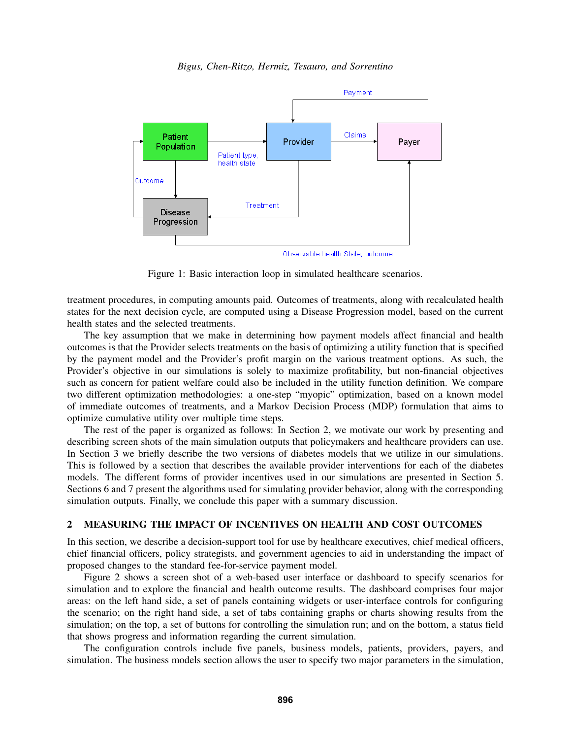

Observable health State, outcome

Figure 1: Basic interaction loop in simulated healthcare scenarios.

treatment procedures, in computing amounts paid. Outcomes of treatments, along with recalculated health states for the next decision cycle, are computed using a Disease Progression model, based on the current health states and the selected treatments.

The key assumption that we make in determining how payment models affect financial and health outcomes is that the Provider selects treatments on the basis of optimizing a utility function that is specified by the payment model and the Provider's profit margin on the various treatment options. As such, the Provider's objective in our simulations is solely to maximize profitability, but non-financial objectives such as concern for patient welfare could also be included in the utility function definition. We compare two different optimization methodologies: a one-step "myopic" optimization, based on a known model of immediate outcomes of treatments, and a Markov Decision Process (MDP) formulation that aims to optimize cumulative utility over multiple time steps.

The rest of the paper is organized as follows: In Section 2, we motivate our work by presenting and describing screen shots of the main simulation outputs that policymakers and healthcare providers can use. In Section 3 we briefly describe the two versions of diabetes models that we utilize in our simulations. This is followed by a section that describes the available provider interventions for each of the diabetes models. The different forms of provider incentives used in our simulations are presented in Section 5. Sections 6 and 7 present the algorithms used for simulating provider behavior, along with the corresponding simulation outputs. Finally, we conclude this paper with a summary discussion.

## 2 MEASURING THE IMPACT OF INCENTIVES ON HEALTH AND COST OUTCOMES

In this section, we describe a decision-support tool for use by healthcare executives, chief medical officers, chief financial officers, policy strategists, and government agencies to aid in understanding the impact of proposed changes to the standard fee-for-service payment model.

Figure 2 shows a screen shot of a web-based user interface or dashboard to specify scenarios for simulation and to explore the financial and health outcome results. The dashboard comprises four major areas: on the left hand side, a set of panels containing widgets or user-interface controls for configuring the scenario; on the right hand side, a set of tabs containing graphs or charts showing results from the simulation; on the top, a set of buttons for controlling the simulation run; and on the bottom, a status field that shows progress and information regarding the current simulation.

The configuration controls include five panels, business models, patients, providers, payers, and simulation. The business models section allows the user to specify two major parameters in the simulation,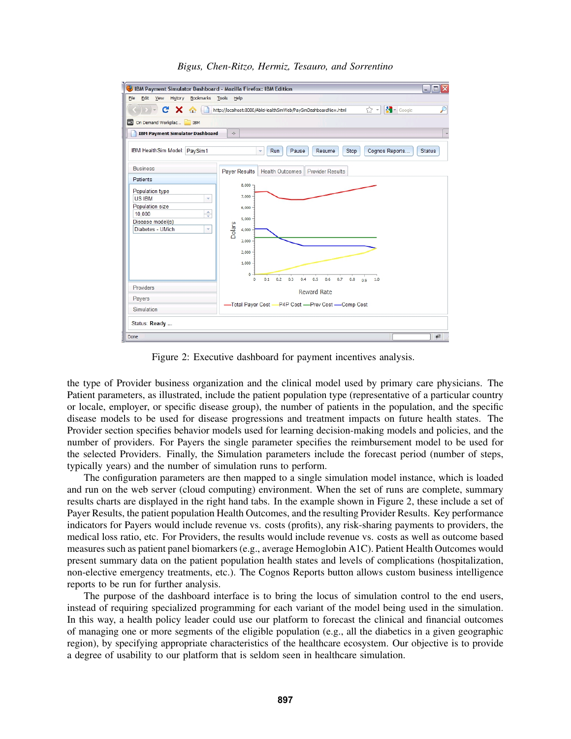

*Bigus, Chen-Ritzo, Hermiz, Tesauro, and Sorrentino*

Figure 2: Executive dashboard for payment incentives analysis.

the type of Provider business organization and the clinical model used by primary care physicians. The Patient parameters, as illustrated, include the patient population type (representative of a particular country or locale, employer, or specific disease group), the number of patients in the population, and the specific disease models to be used for disease progressions and treatment impacts on future health states. The Provider section specifies behavior models used for learning decision-making models and policies, and the number of providers. For Payers the single parameter specifies the reimbursement model to be used for the selected Providers. Finally, the Simulation parameters include the forecast period (number of steps, typically years) and the number of simulation runs to perform.

The configuration parameters are then mapped to a single simulation model instance, which is loaded and run on the web server (cloud computing) environment. When the set of runs are complete, summary results charts are displayed in the right hand tabs. In the example shown in Figure 2, these include a set of Payer Results, the patient population Health Outcomes, and the resulting Provider Results. Key performance indicators for Payers would include revenue vs. costs (profits), any risk-sharing payments to providers, the medical loss ratio, etc. For Providers, the results would include revenue vs. costs as well as outcome based measures such as patient panel biomarkers (e.g., average Hemoglobin A1C). Patient Health Outcomes would present summary data on the patient population health states and levels of complications (hospitalization, non-elective emergency treatments, etc.). The Cognos Reports button allows custom business intelligence reports to be run for further analysis.

The purpose of the dashboard interface is to bring the locus of simulation control to the end users, instead of requiring specialized programming for each variant of the model being used in the simulation. In this way, a health policy leader could use our platform to forecast the clinical and financial outcomes of managing one or more segments of the eligible population (e.g., all the diabetics in a given geographic region), by specifying appropriate characteristics of the healthcare ecosystem. Our objective is to provide a degree of usability to our platform that is seldom seen in healthcare simulation.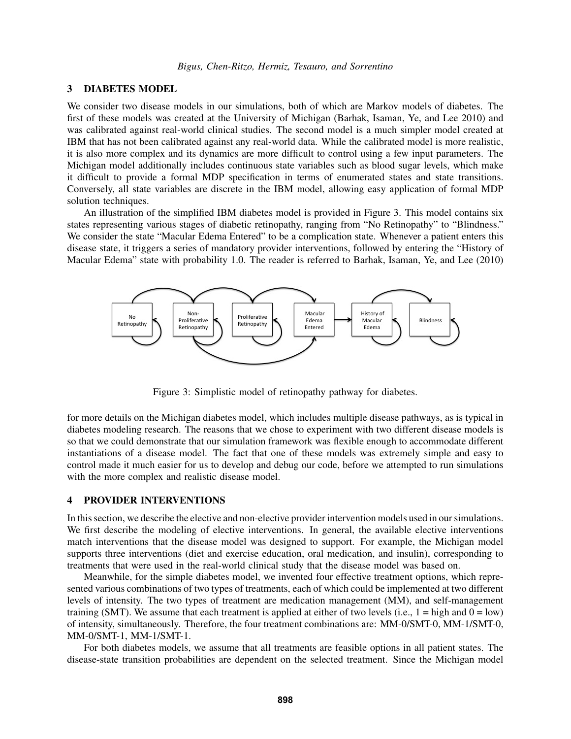## 3 DIABETES MODEL

We consider two disease models in our simulations, both of which are Markov models of diabetes. The first of these models was created at the University of Michigan (Barhak, Isaman, Ye, and Lee 2010) and was calibrated against real-world clinical studies. The second model is a much simpler model created at IBM that has not been calibrated against any real-world data. While the calibrated model is more realistic, it is also more complex and its dynamics are more difficult to control using a few input parameters. The Michigan model additionally includes continuous state variables such as blood sugar levels, which make it difficult to provide a formal MDP specification in terms of enumerated states and state transitions. Conversely, all state variables are discrete in the IBM model, allowing easy application of formal MDP solution techniques.

An illustration of the simplified IBM diabetes model is provided in Figure 3. This model contains six states representing various stages of diabetic retinopathy, ranging from "No Retinopathy" to "Blindness." We consider the state "Macular Edema Entered" to be a complication state. Whenever a patient enters this disease state, it triggers a series of mandatory provider interventions, followed by entering the "History of Macular Edema" state with probability 1.0. The reader is referred to Barhak, Isaman, Ye, and Lee (2010)



Figure 3: Simplistic model of retinopathy pathway for diabetes.

for more details on the Michigan diabetes model, which includes multiple disease pathways, as is typical in diabetes modeling research. The reasons that we chose to experiment with two different disease models is so that we could demonstrate that our simulation framework was flexible enough to accommodate different instantiations of a disease model. The fact that one of these models was extremely simple and easy to control made it much easier for us to develop and debug our code, before we attempted to run simulations with the more complex and realistic disease model.

#### 4 PROVIDER INTERVENTIONS

In this section, we describe the elective and non-elective provider intervention models used in our simulations. We first describe the modeling of elective interventions. In general, the available elective interventions match interventions that the disease model was designed to support. For example, the Michigan model supports three interventions (diet and exercise education, oral medication, and insulin), corresponding to treatments that were used in the real-world clinical study that the disease model was based on.

Meanwhile, for the simple diabetes model, we invented four effective treatment options, which represented various combinations of two types of treatments, each of which could be implemented at two different levels of intensity. The two types of treatment are medication management (MM), and self-management training (SMT). We assume that each treatment is applied at either of two levels (i.e.,  $1 =$  high and  $0 =$  low) of intensity, simultaneously. Therefore, the four treatment combinations are: MM-0/SMT-0, MM-1/SMT-0, MM-0/SMT-1, MM-1/SMT-1.

For both diabetes models, we assume that all treatments are feasible options in all patient states. The disease-state transition probabilities are dependent on the selected treatment. Since the Michigan model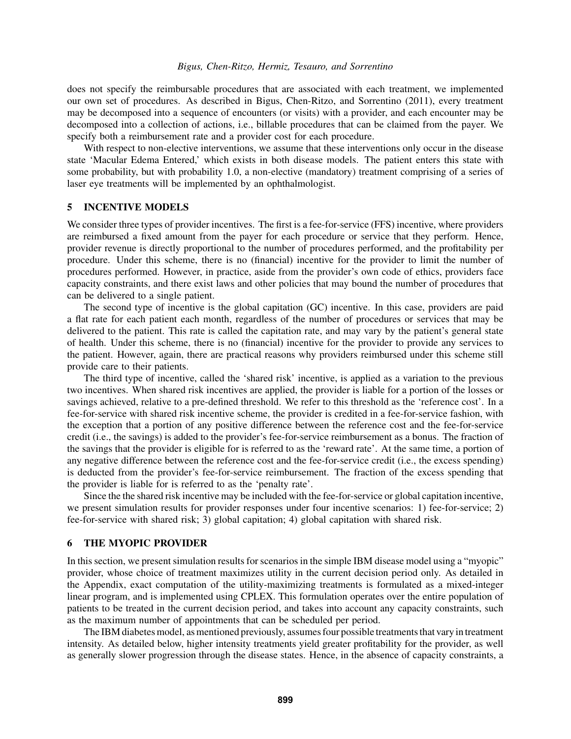does not specify the reimbursable procedures that are associated with each treatment, we implemented our own set of procedures. As described in Bigus, Chen-Ritzo, and Sorrentino (2011), every treatment may be decomposed into a sequence of encounters (or visits) with a provider, and each encounter may be decomposed into a collection of actions, i.e., billable procedures that can be claimed from the payer. We specify both a reimbursement rate and a provider cost for each procedure.

With respect to non-elective interventions, we assume that these interventions only occur in the disease state 'Macular Edema Entered,' which exists in both disease models. The patient enters this state with some probability, but with probability 1.0, a non-elective (mandatory) treatment comprising of a series of laser eye treatments will be implemented by an ophthalmologist.

## 5 INCENTIVE MODELS

We consider three types of provider incentives. The first is a fee-for-service (FFS) incentive, where providers are reimbursed a fixed amount from the payer for each procedure or service that they perform. Hence, provider revenue is directly proportional to the number of procedures performed, and the profitability per procedure. Under this scheme, there is no (financial) incentive for the provider to limit the number of procedures performed. However, in practice, aside from the provider's own code of ethics, providers face capacity constraints, and there exist laws and other policies that may bound the number of procedures that can be delivered to a single patient.

The second type of incentive is the global capitation (GC) incentive. In this case, providers are paid a flat rate for each patient each month, regardless of the number of procedures or services that may be delivered to the patient. This rate is called the capitation rate, and may vary by the patient's general state of health. Under this scheme, there is no (financial) incentive for the provider to provide any services to the patient. However, again, there are practical reasons why providers reimbursed under this scheme still provide care to their patients.

The third type of incentive, called the 'shared risk' incentive, is applied as a variation to the previous two incentives. When shared risk incentives are applied, the provider is liable for a portion of the losses or savings achieved, relative to a pre-defined threshold. We refer to this threshold as the 'reference cost'. In a fee-for-service with shared risk incentive scheme, the provider is credited in a fee-for-service fashion, with the exception that a portion of any positive difference between the reference cost and the fee-for-service credit (i.e., the savings) is added to the provider's fee-for-service reimbursement as a bonus. The fraction of the savings that the provider is eligible for is referred to as the 'reward rate'. At the same time, a portion of any negative difference between the reference cost and the fee-for-service credit (i.e., the excess spending) is deducted from the provider's fee-for-service reimbursement. The fraction of the excess spending that the provider is liable for is referred to as the 'penalty rate'.

Since the the shared risk incentive may be included with the fee-for-service or global capitation incentive, we present simulation results for provider responses under four incentive scenarios: 1) fee-for-service; 2) fee-for-service with shared risk; 3) global capitation; 4) global capitation with shared risk.

## 6 THE MYOPIC PROVIDER

In this section, we present simulation results for scenarios in the simple IBM disease model using a "myopic" provider, whose choice of treatment maximizes utility in the current decision period only. As detailed in the Appendix, exact computation of the utility-maximizing treatments is formulated as a mixed-integer linear program, and is implemented using CPLEX. This formulation operates over the entire population of patients to be treated in the current decision period, and takes into account any capacity constraints, such as the maximum number of appointments that can be scheduled per period.

The IBM diabetes model, as mentioned previously, assumes four possible treatments that vary in treatment intensity. As detailed below, higher intensity treatments yield greater profitability for the provider, as well as generally slower progression through the disease states. Hence, in the absence of capacity constraints, a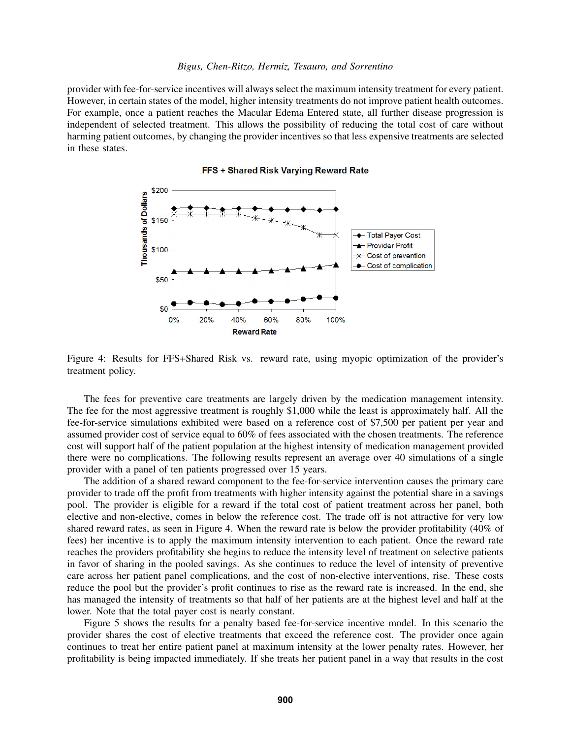provider with fee-for-service incentives will always select the maximum intensity treatment for every patient. However, in certain states of the model, higher intensity treatments do not improve patient health outcomes. For example, once a patient reaches the Macular Edema Entered state, all further disease progression is independent of selected treatment. This allows the possibility of reducing the total cost of care without harming patient outcomes, by changing the provider incentives so that less expensive treatments are selected in these states.

FFS + Shared Risk Varying Reward Rate



Figure 4: Results for FFS+Shared Risk vs. reward rate, using myopic optimization of the provider's treatment policy.

The fees for preventive care treatments are largely driven by the medication management intensity. The fee for the most aggressive treatment is roughly \$1,000 while the least is approximately half. All the fee-for-service simulations exhibited were based on a reference cost of \$7,500 per patient per year and assumed provider cost of service equal to 60% of fees associated with the chosen treatments. The reference cost will support half of the patient population at the highest intensity of medication management provided there were no complications. The following results represent an average over 40 simulations of a single provider with a panel of ten patients progressed over 15 years.

The addition of a shared reward component to the fee-for-service intervention causes the primary care provider to trade off the profit from treatments with higher intensity against the potential share in a savings pool. The provider is eligible for a reward if the total cost of patient treatment across her panel, both elective and non-elective, comes in below the reference cost. The trade off is not attractive for very low shared reward rates, as seen in Figure 4. When the reward rate is below the provider profitability (40% of fees) her incentive is to apply the maximum intensity intervention to each patient. Once the reward rate reaches the providers profitability she begins to reduce the intensity level of treatment on selective patients in favor of sharing in the pooled savings. As she continues to reduce the level of intensity of preventive care across her patient panel complications, and the cost of non-elective interventions, rise. These costs reduce the pool but the provider's profit continues to rise as the reward rate is increased. In the end, she has managed the intensity of treatments so that half of her patients are at the highest level and half at the lower. Note that the total payer cost is nearly constant.

Figure 5 shows the results for a penalty based fee-for-service incentive model. In this scenario the provider shares the cost of elective treatments that exceed the reference cost. The provider once again continues to treat her entire patient panel at maximum intensity at the lower penalty rates. However, her profitability is being impacted immediately. If she treats her patient panel in a way that results in the cost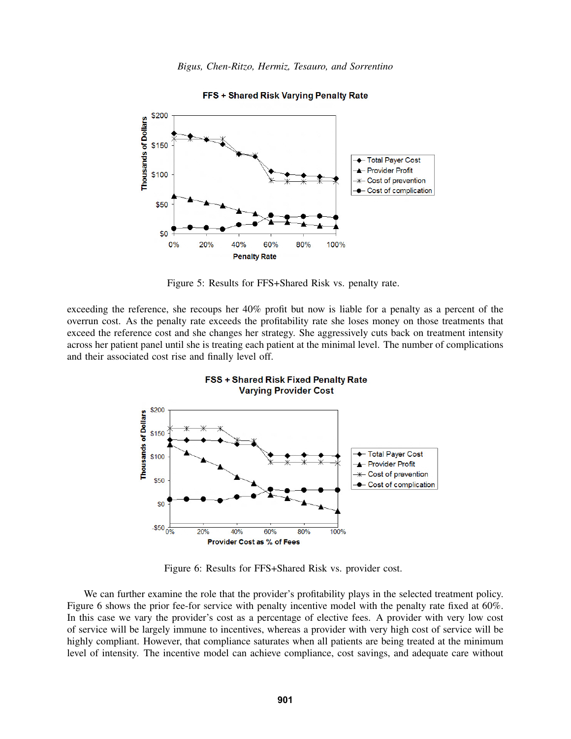

FFS + Shared Risk Varying Penalty Rate

Figure 5: Results for FFS+Shared Risk vs. penalty rate.

exceeding the reference, she recoups her 40% profit but now is liable for a penalty as a percent of the overrun cost. As the penalty rate exceeds the profitability rate she loses money on those treatments that exceed the reference cost and she changes her strategy. She aggressively cuts back on treatment intensity across her patient panel until she is treating each patient at the minimal level. The number of complications and their associated cost rise and finally level off.



Figure 6: Results for FFS+Shared Risk vs. provider cost.

We can further examine the role that the provider's profitability plays in the selected treatment policy. Figure 6 shows the prior fee-for service with penalty incentive model with the penalty rate fixed at 60%. In this case we vary the provider's cost as a percentage of elective fees. A provider with very low cost of service will be largely immune to incentives, whereas a provider with very high cost of service will be highly compliant. However, that compliance saturates when all patients are being treated at the minimum level of intensity. The incentive model can achieve compliance, cost savings, and adequate care without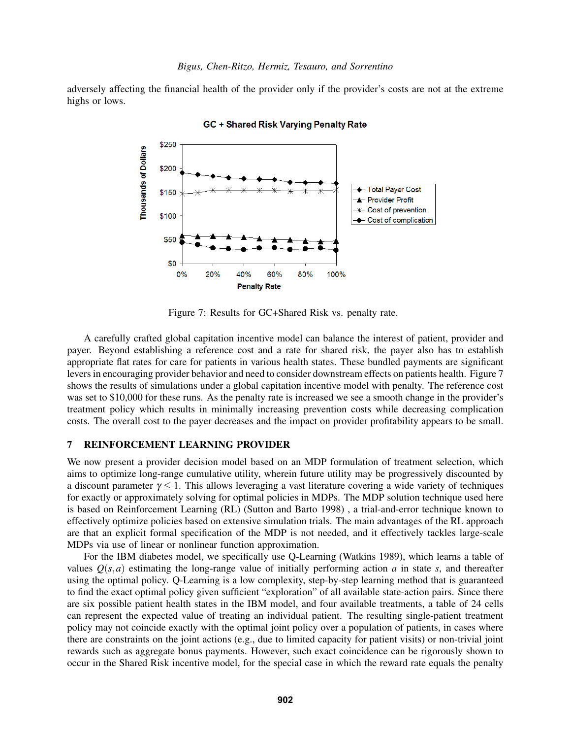adversely affecting the financial health of the provider only if the provider's costs are not at the extreme highs or lows.



GC + Shared Risk Varying Penalty Rate

Figure 7: Results for GC+Shared Risk vs. penalty rate.

A carefully crafted global capitation incentive model can balance the interest of patient, provider and payer. Beyond establishing a reference cost and a rate for shared risk, the payer also has to establish appropriate flat rates for care for patients in various health states. These bundled payments are significant levers in encouraging provider behavior and need to consider downstream effects on patients health. Figure 7 shows the results of simulations under a global capitation incentive model with penalty. The reference cost was set to \$10,000 for these runs. As the penalty rate is increased we see a smooth change in the provider's treatment policy which results in minimally increasing prevention costs while decreasing complication costs. The overall cost to the payer decreases and the impact on provider profitability appears to be small.

### 7 REINFORCEMENT LEARNING PROVIDER

We now present a provider decision model based on an MDP formulation of treatment selection, which aims to optimize long-range cumulative utility, wherein future utility may be progressively discounted by a discount parameter  $\gamma$  < 1. This allows leveraging a vast literature covering a wide variety of techniques for exactly or approximately solving for optimal policies in MDPs. The MDP solution technique used here is based on Reinforcement Learning (RL) (Sutton and Barto 1998) , a trial-and-error technique known to effectively optimize policies based on extensive simulation trials. The main advantages of the RL approach are that an explicit formal specification of the MDP is not needed, and it effectively tackles large-scale MDPs via use of linear or nonlinear function approximation.

For the IBM diabetes model, we specifically use Q-Learning (Watkins 1989), which learns a table of values  $Q(s, a)$  estimating the long-range value of initially performing action *a* in state *s*, and thereafter using the optimal policy. Q-Learning is a low complexity, step-by-step learning method that is guaranteed to find the exact optimal policy given sufficient "exploration" of all available state-action pairs. Since there are six possible patient health states in the IBM model, and four available treatments, a table of 24 cells can represent the expected value of treating an individual patient. The resulting single-patient treatment policy may not coincide exactly with the optimal joint policy over a population of patients, in cases where there are constraints on the joint actions (e.g., due to limited capacity for patient visits) or non-trivial joint rewards such as aggregate bonus payments. However, such exact coincidence can be rigorously shown to occur in the Shared Risk incentive model, for the special case in which the reward rate equals the penalty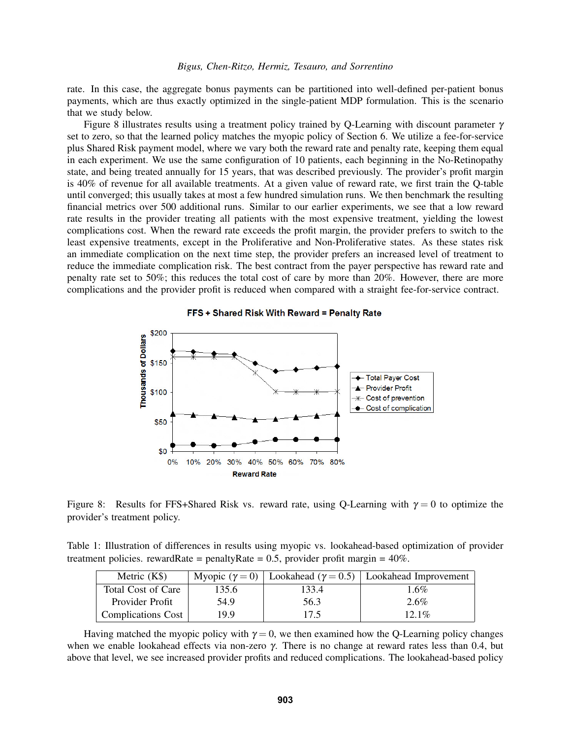rate. In this case, the aggregate bonus payments can be partitioned into well-defined per-patient bonus payments, which are thus exactly optimized in the single-patient MDP formulation. This is the scenario that we study below.

Figure 8 illustrates results using a treatment policy trained by O-Learning with discount parameter  $\gamma$ set to zero, so that the learned policy matches the myopic policy of Section 6. We utilize a fee-for-service plus Shared Risk payment model, where we vary both the reward rate and penalty rate, keeping them equal in each experiment. We use the same configuration of 10 patients, each beginning in the No-Retinopathy state, and being treated annually for 15 years, that was described previously. The provider's profit margin is 40% of revenue for all available treatments. At a given value of reward rate, we first train the Q-table until converged; this usually takes at most a few hundred simulation runs. We then benchmark the resulting financial metrics over 500 additional runs. Similar to our earlier experiments, we see that a low reward rate results in the provider treating all patients with the most expensive treatment, yielding the lowest complications cost. When the reward rate exceeds the profit margin, the provider prefers to switch to the least expensive treatments, except in the Proliferative and Non-Proliferative states. As these states risk an immediate complication on the next time step, the provider prefers an increased level of treatment to reduce the immediate complication risk. The best contract from the payer perspective has reward rate and penalty rate set to 50%; this reduces the total cost of care by more than 20%. However, there are more complications and the provider profit is reduced when compared with a straight fee-for-service contract.





Figure 8: Results for FFS+Shared Risk vs. reward rate, using Q-Learning with  $\gamma = 0$  to optimize the provider's treatment policy.

Table 1: Illustration of differences in results using myopic vs. lookahead-based optimization of provider treatment policies. rewardRate = penaltyRate =  $0.5$ , provider profit margin =  $40\%$ .

| Metric $(K\$              |       |       | Myopic $(\gamma = 0)$   Lookahead $(\gamma = 0.5)$   Lookahead Improvement |
|---------------------------|-------|-------|----------------------------------------------------------------------------|
| Total Cost of Care        | 135.6 | 133.4 | $1.6\%$                                                                    |
| Provider Profit           | 54.9  | 56.3  | $2.6\%$                                                                    |
| <b>Complications Cost</b> | 19.9  | 175   | $12.1\%$                                                                   |

Having matched the myopic policy with  $\gamma = 0$ , we then examined how the Q-Learning policy changes when we enable lookahead effects via non-zero γ. There is no change at reward rates less than 0.4, but above that level, we see increased provider profits and reduced complications. The lookahead-based policy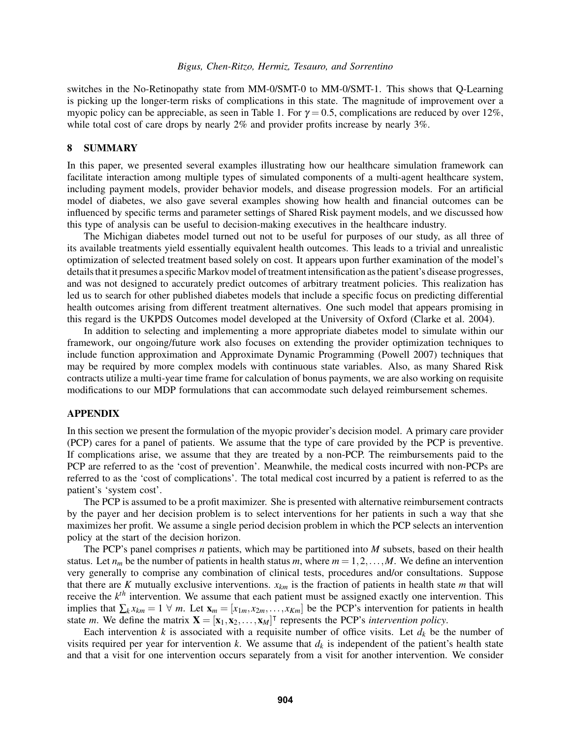switches in the No-Retinopathy state from MM-0/SMT-0 to MM-0/SMT-1. This shows that Q-Learning is picking up the longer-term risks of complications in this state. The magnitude of improvement over a myopic policy can be appreciable, as seen in Table 1. For  $\gamma = 0.5$ , complications are reduced by over 12%, while total cost of care drops by nearly 2% and provider profits increase by nearly 3%.

## 8 SUMMARY

In this paper, we presented several examples illustrating how our healthcare simulation framework can facilitate interaction among multiple types of simulated components of a multi-agent healthcare system, including payment models, provider behavior models, and disease progression models. For an artificial model of diabetes, we also gave several examples showing how health and financial outcomes can be influenced by specific terms and parameter settings of Shared Risk payment models, and we discussed how this type of analysis can be useful to decision-making executives in the healthcare industry.

The Michigan diabetes model turned out not to be useful for purposes of our study, as all three of its available treatments yield essentially equivalent health outcomes. This leads to a trivial and unrealistic optimization of selected treatment based solely on cost. It appears upon further examination of the model's details that it presumes a specific Markov model of treatment intensification as the patient's disease progresses, and was not designed to accurately predict outcomes of arbitrary treatment policies. This realization has led us to search for other published diabetes models that include a specific focus on predicting differential health outcomes arising from different treatment alternatives. One such model that appears promising in this regard is the UKPDS Outcomes model developed at the University of Oxford (Clarke et al. 2004).

In addition to selecting and implementing a more appropriate diabetes model to simulate within our framework, our ongoing/future work also focuses on extending the provider optimization techniques to include function approximation and Approximate Dynamic Programming (Powell 2007) techniques that may be required by more complex models with continuous state variables. Also, as many Shared Risk contracts utilize a multi-year time frame for calculation of bonus payments, we are also working on requisite modifications to our MDP formulations that can accommodate such delayed reimbursement schemes.

#### APPENDIX

In this section we present the formulation of the myopic provider's decision model. A primary care provider (PCP) cares for a panel of patients. We assume that the type of care provided by the PCP is preventive. If complications arise, we assume that they are treated by a non-PCP. The reimbursements paid to the PCP are referred to as the 'cost of prevention'. Meanwhile, the medical costs incurred with non-PCPs are referred to as the 'cost of complications'. The total medical cost incurred by a patient is referred to as the patient's 'system cost'.

The PCP is assumed to be a profit maximizer. She is presented with alternative reimbursement contracts by the payer and her decision problem is to select interventions for her patients in such a way that she maximizes her profit. We assume a single period decision problem in which the PCP selects an intervention policy at the start of the decision horizon.

The PCP's panel comprises *n* patients, which may be partitioned into *M* subsets, based on their health status. Let  $n_m$  be the number of patients in health status m, where  $m = 1, 2, ..., M$ . We define an intervention very generally to comprise any combination of clinical tests, procedures and/or consultations. Suppose that there are *K* mutually exclusive interventions.  $x_{km}$  is the fraction of patients in health state *m* that will receive the  $k^{th}$  intervention. We assume that each patient must be assigned exactly one intervention. This implies that  $\sum_k x_{km} = 1 \ \forall \ m$ . Let  $\mathbf{x}_m = [x_{1m}, x_{2m}, \dots, x_{Km}]$  be the PCP's intervention for patients in health state *m*. We define the matrix  $\mathbf{X} = [\mathbf{x}_1, \mathbf{x}_2, ..., \mathbf{x}_M]^T$  represents the PCP's *intervention policy*.

Each intervention *k* is associated with a requisite number of office visits. Let  $d_k$  be the number of visits required per year for intervention  $k$ . We assume that  $d_k$  is independent of the patient's health state and that a visit for one intervention occurs separately from a visit for another intervention. We consider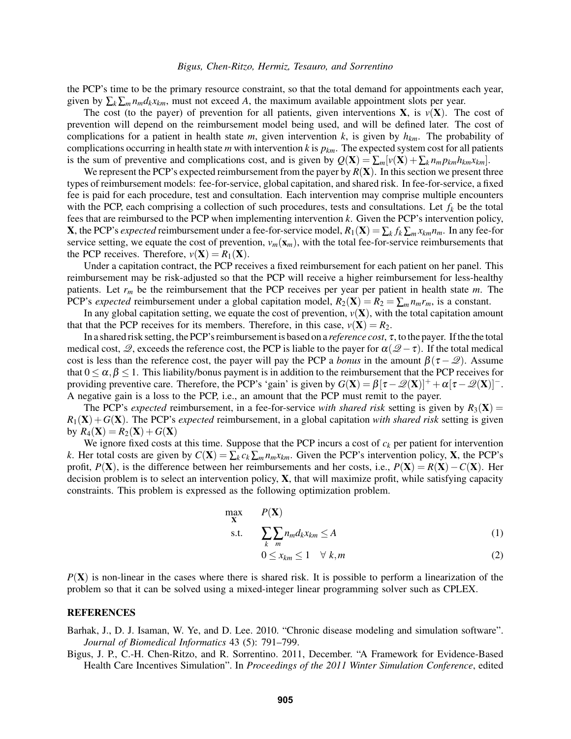the PCP's time to be the primary resource constraint, so that the total demand for appointments each year, given by  $\sum_{k} \sum_{m} n_{m} d_{k} x_{km}$ , must not exceed A, the maximum available appointment slots per year.

The cost (to the payer) of prevention for all patients, given interventions **X**, is  $v(X)$ . The cost of prevention will depend on the reimbursement model being used, and will be defined later. The cost of complications for a patient in health state *m*, given intervention  $k$ , is given by  $h_{km}$ . The probability of complications occurring in health state  $m$  with intervention  $k$  is  $p_{km}$ . The expected system cost for all patients is the sum of preventive and complications cost, and is given by  $Q(\mathbf{X}) = \sum_m [v(\mathbf{X}) + \sum_k n_m p_{km} h_{km} x_{km}]$ .

We represent the PCP's expected reimbursement from the payer by  $R(X)$ . In this section we present three types of reimbursement models: fee-for-service, global capitation, and shared risk. In fee-for-service, a fixed fee is paid for each procedure, test and consultation. Each intervention may comprise multiple encounters with the PCP, each comprising a collection of such procedures, tests and consultations. Let  $f_k$  be the total fees that are reimbursed to the PCP when implementing intervention *k*. Given the PCP's intervention policy, **X**, the PCP's *expected* reimbursement under a fee-for-service model,  $R_1(\mathbf{X}) = \sum_k f_k \sum_m x_{km} n_m$ . In any fee-for service setting, we equate the cost of prevention,  $v_m(\mathbf{x}_m)$ , with the total fee-for-service reimbursements that the PCP receives. Therefore,  $v(\mathbf{X}) = R_1(\mathbf{X})$ .

Under a capitation contract, the PCP receives a fixed reimbursement for each patient on her panel. This reimbursement may be risk-adjusted so that the PCP will receive a higher reimbursement for less-healthy patients. Let *r<sup>m</sup>* be the reimbursement that the PCP receives per year per patient in health state *m*. The PCP's *expected* reimbursement under a global capitation model,  $R_2(\mathbf{X}) = R_2 = \sum_m n_m r_m$ , is a constant.

In any global capitation setting, we equate the cost of prevention,  $v(X)$ , with the total capitation amount that that the PCP receives for its members. Therefore, in this case,  $v(\mathbf{X}) = R_2$ .

In a shared risk setting, the PCP's reimbursement is based on a *reference cost*, τ, to the payer. If the the total medical cost,  $\mathcal{Q}$ , exceeds the reference cost, the PCP is liable to the payer for  $\alpha(\mathcal{Q}-\tau)$ . If the total medical cost is less than the reference cost, the payer will pay the PCP a *bonus* in the amount  $\beta(\tau - \mathcal{Q})$ . Assume that  $0 \le \alpha, \beta \le 1$ . This liability/bonus payment is in addition to the reimbursement that the PCP receives for providing preventive care. Therefore, the PCP's 'gain' is given by  $G(\mathbf{X}) = \beta[\tau - \mathcal{Q}(\mathbf{X})]^+ + \alpha[\tau - \mathcal{Q}(\mathbf{X})]^-.$ A negative gain is a loss to the PCP, i.e., an amount that the PCP must remit to the payer.

The PCP's *expected* reimbursement, in a fee-for-service *with shared risk* setting is given by  $R_3(\mathbf{X}) =$  $R_1(X) + G(X)$ . The PCP's *expected* reimbursement, in a global capitation *with shared risk* setting is given by  $R_4(\mathbf{X}) = R_2(\mathbf{X}) + G(\mathbf{X})$ 

We ignore fixed costs at this time. Suppose that the PCP incurs a cost of  $c_k$  per patient for intervention *k*. Her total costs are given by  $C(\mathbf{X}) = \sum_k c_k \sum_m n_m x_{km}$ . Given the PCP's intervention policy, **X**, the PCP's profit,  $P(X)$ , is the difference between her reimbursements and her costs, i.e.,  $P(X) = R(X) - C(X)$ . Her decision problem is to select an intervention policy,  $X$ , that will maximize profit, while satisfying capacity constraints. This problem is expressed as the following optimization problem.

$$
\begin{array}{ll}\n\max \quad & P(\mathbf{X}) \\
\text{s.t.} & \sum_{k \ m} n_m d_k x_{km} \le A\n\end{array} \tag{1}
$$

$$
0 \le x_{km} \le 1 \quad \forall \ k, m \tag{2}
$$

*P*(X) is non-linear in the cases where there is shared risk. It is possible to perform a linearization of the problem so that it can be solved using a mixed-integer linear programming solver such as CPLEX.

#### REFERENCES

- Barhak, J., D. J. Isaman, W. Ye, and D. Lee. 2010. "Chronic disease modeling and simulation software". *Journal of Biomedical Informatics* 43 (5): 791–799.
- Bigus, J. P., C.-H. Chen-Ritzo, and R. Sorrentino. 2011, December. "A Framework for Evidence-Based Health Care Incentives Simulation". In *Proceedings of the 2011 Winter Simulation Conference*, edited